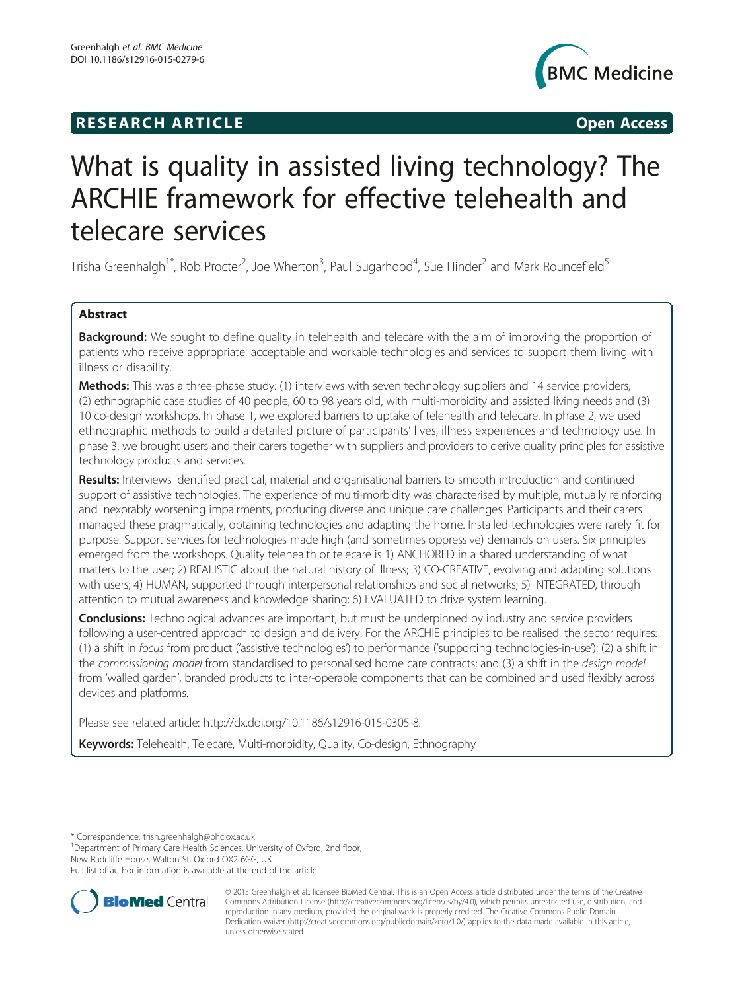# **RESEARCH ARTICLE CONSUMING A RESEARCH ARTICLE**



# What is quality in assisted living technology? The ARCHIE framework for effective telehealth and telecare services

Trisha Greenhalgh<sup>1\*</sup>, Rob Procter<sup>2</sup>, Joe Wherton<sup>3</sup>, Paul Sugarhood<sup>4</sup>, Sue Hinder<sup>2</sup> and Mark Rouncefield<sup>5</sup>

# Abstract

Background: We sought to define quality in telehealth and telecare with the aim of improving the proportion of patients who receive appropriate, acceptable and workable technologies and services to support them living with illness or disability.

Methods: This was a three-phase study: (1) interviews with seven technology suppliers and 14 service providers, (2) ethnographic case studies of 40 people, 60 to 98 years old, with multi-morbidity and assisted living needs and (3) 10 co-design workshops. In phase 1, we explored barriers to uptake of telehealth and telecare. In phase 2, we used ethnographic methods to build a detailed picture of participants' lives, illness experiences and technology use. In phase 3, we brought users and their carers together with suppliers and providers to derive quality principles for assistive technology products and services.

Results: Interviews identified practical, material and organisational barriers to smooth introduction and continued support of assistive technologies. The experience of multi-morbidity was characterised by multiple, mutually reinforcing and inexorably worsening impairments, producing diverse and unique care challenges. Participants and their carers managed these pragmatically, obtaining technologies and adapting the home. Installed technologies were rarely fit for purpose. Support services for technologies made high (and sometimes oppressive) demands on users. Six principles emerged from the workshops. Quality telehealth or telecare is 1) ANCHORED in a shared understanding of what matters to the user; 2) REALISTIC about the natural history of illness; 3) CO-CREATIVE, evolving and adapting solutions with users; 4) HUMAN, supported through interpersonal relationships and social networks; 5) INTEGRATED, through attention to mutual awareness and knowledge sharing; 6) EVALUATED to drive system learning.

Conclusions: Technological advances are important, but must be underpinned by industry and service providers following a user-centred approach to design and delivery. For the ARCHIE principles to be realised, the sector requires: (1) a shift in focus from product ('assistive technologies') to performance ('supporting technologies-in-use'); (2) a shift in the commissioning model from standardised to personalised home care contracts; and (3) a shift in the design model from 'walled garden', branded products to inter-operable components that can be combined and used flexibly across devices and platforms.

Please see related article: http://dx.doi.org/10.1186/s12916-015-0305-8.

Keywords: Telehealth, Telecare, Multi-morbidity, Quality, Co-design, Ethnography

\* Correspondence: trish.greenhalgh@phc.ox.ac.uk <sup>1</sup>

<sup>1</sup>Department of Primary Care Health Sciences, University of Oxford, 2nd floor, New Radcliffe House, Walton St, Oxford OX2 6GG, UK

Full list of author information is available at the end of the article



© 2015 Greenhalgh et al.; licensee BioMed Central. This is an Open Access article distributed under the terms of the Creative Commons Attribution License (http://creativecommons.org/licenses/by/4.0), which permits unrestricted use, distribution, and reproduction in any medium, provided the original work is properly credited. The Creative Commons Public Domain Dedication waiver (http://creativecommons.org/publicdomain/zero/1.0/) applies to the data made available in this article, unless otherwise stated.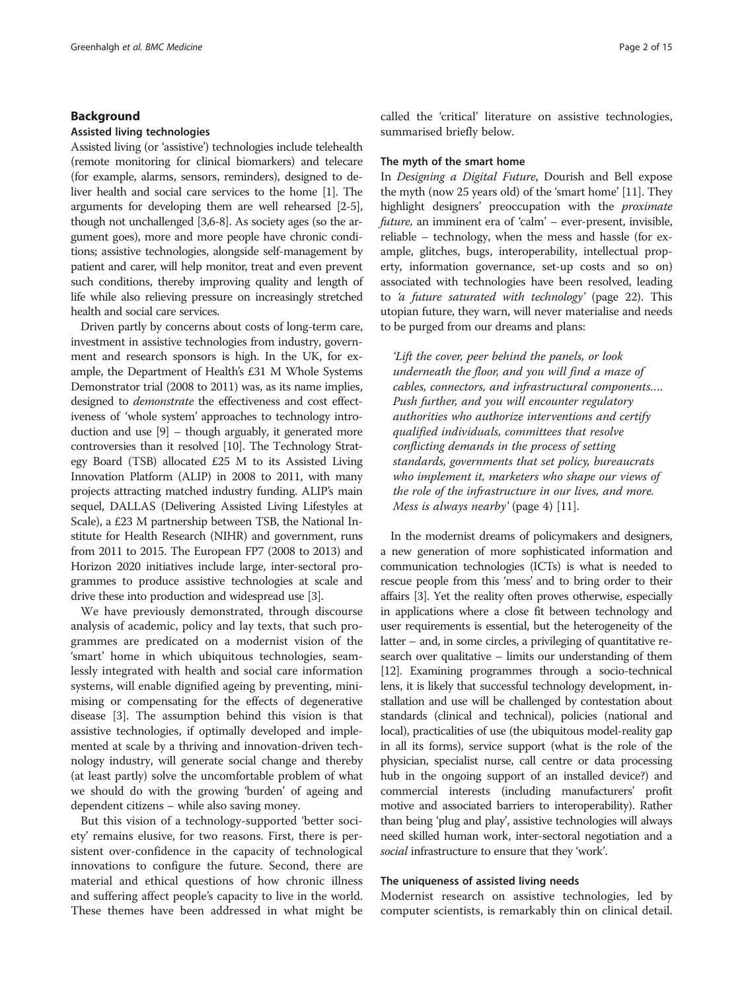# Background

# Assisted living technologies

Assisted living (or 'assistive') technologies include telehealth (remote monitoring for clinical biomarkers) and telecare (for example, alarms, sensors, reminders), designed to deliver health and social care services to the home [1]. The arguments for developing them are well rehearsed [2-5], though not unchallenged [3,6-8]. As society ages (so the argument goes), more and more people have chronic conditions; assistive technologies, alongside self-management by patient and carer, will help monitor, treat and even prevent such conditions, thereby improving quality and length of life while also relieving pressure on increasingly stretched health and social care services.

Driven partly by concerns about costs of long-term care, investment in assistive technologies from industry, government and research sponsors is high. In the UK, for example, the Department of Health's £31 M Whole Systems Demonstrator trial (2008 to 2011) was, as its name implies, designed to demonstrate the effectiveness and cost effectiveness of 'whole system' approaches to technology introduction and use [9] – though arguably, it generated more controversies than it resolved [10]. The Technology Strategy Board (TSB) allocated £25 M to its Assisted Living Innovation Platform (ALIP) in 2008 to 2011, with many projects attracting matched industry funding. ALIP's main sequel, DALLAS (Delivering Assisted Living Lifestyles at Scale), a £23 M partnership between TSB, the National Institute for Health Research (NIHR) and government, runs from 2011 to 2015. The European FP7 (2008 to 2013) and Horizon 2020 initiatives include large, inter-sectoral programmes to produce assistive technologies at scale and drive these into production and widespread use [3].

We have previously demonstrated, through discourse analysis of academic, policy and lay texts, that such programmes are predicated on a modernist vision of the 'smart' home in which ubiquitous technologies, seamlessly integrated with health and social care information systems, will enable dignified ageing by preventing, minimising or compensating for the effects of degenerative disease [3]. The assumption behind this vision is that assistive technologies, if optimally developed and implemented at scale by a thriving and innovation-driven technology industry, will generate social change and thereby (at least partly) solve the uncomfortable problem of what we should do with the growing 'burden' of ageing and dependent citizens – while also saving money.

But this vision of a technology-supported 'better society' remains elusive, for two reasons. First, there is persistent over-confidence in the capacity of technological innovations to configure the future. Second, there are material and ethical questions of how chronic illness and suffering affect people's capacity to live in the world. These themes have been addressed in what might be called the 'critical' literature on assistive technologies, summarised briefly below.

#### The myth of the smart home

In Designing a Digital Future, Dourish and Bell expose the myth (now 25 years old) of the 'smart home' [11]. They highlight designers' preoccupation with the *proximate* future, an imminent era of 'calm' – ever-present, invisible, reliable – technology, when the mess and hassle (for example, glitches, bugs, interoperability, intellectual property, information governance, set-up costs and so on) associated with technologies have been resolved, leading to 'a future saturated with technology' (page 22). This utopian future, they warn, will never materialise and needs to be purged from our dreams and plans:

'Lift the cover, peer behind the panels, or look underneath the floor, and you will find a maze of cables, connectors, and infrastructural components…. Push further, and you will encounter regulatory authorities who authorize interventions and certify qualified individuals, committees that resolve conflicting demands in the process of setting standards, governments that set policy, bureaucrats who implement it, marketers who shape our views of the role of the infrastructure in our lives, and more. Mess is always nearby' (page 4) [11].

In the modernist dreams of policymakers and designers, a new generation of more sophisticated information and communication technologies (ICTs) is what is needed to rescue people from this 'mess' and to bring order to their affairs [3]. Yet the reality often proves otherwise, especially in applications where a close fit between technology and user requirements is essential, but the heterogeneity of the latter – and, in some circles, a privileging of quantitative research over qualitative – limits our understanding of them [12]. Examining programmes through a socio-technical lens, it is likely that successful technology development, installation and use will be challenged by contestation about standards (clinical and technical), policies (national and local), practicalities of use (the ubiquitous model-reality gap in all its forms), service support (what is the role of the physician, specialist nurse, call centre or data processing hub in the ongoing support of an installed device?) and commercial interests (including manufacturers' profit motive and associated barriers to interoperability). Rather than being 'plug and play', assistive technologies will always need skilled human work, inter-sectoral negotiation and a social infrastructure to ensure that they 'work'.

#### The uniqueness of assisted living needs

Modernist research on assistive technologies, led by computer scientists, is remarkably thin on clinical detail.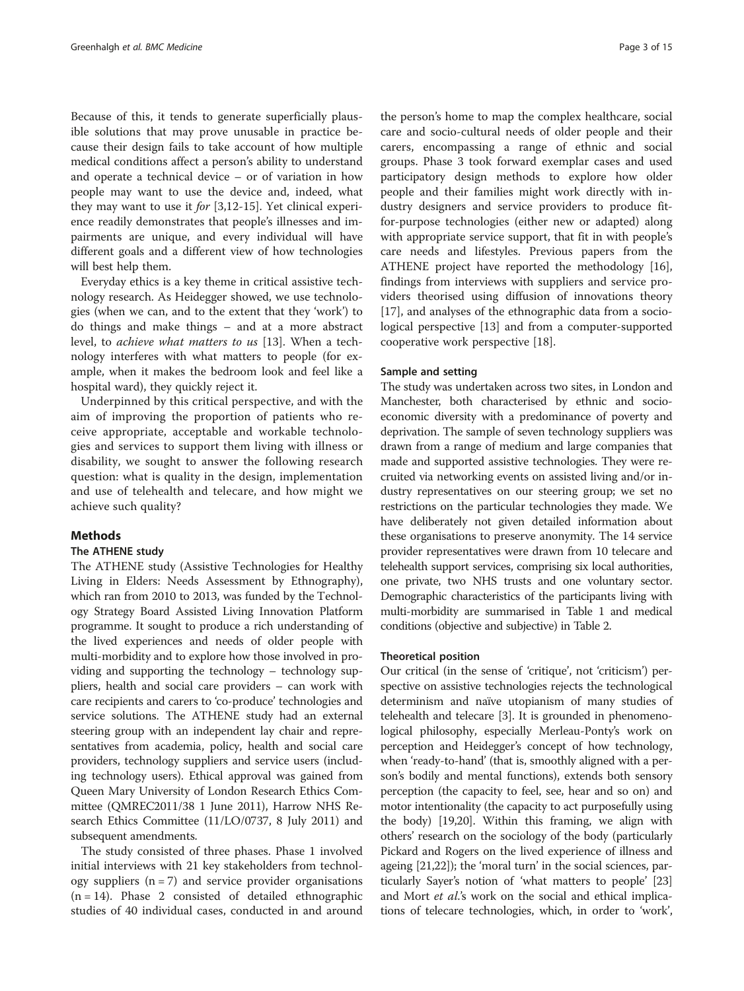Because of this, it tends to generate superficially plausible solutions that may prove unusable in practice because their design fails to take account of how multiple medical conditions affect a person's ability to understand and operate a technical device – or of variation in how people may want to use the device and, indeed, what they may want to use it for [3,12-15]. Yet clinical experience readily demonstrates that people's illnesses and impairments are unique, and every individual will have different goals and a different view of how technologies will best help them.

Everyday ethics is a key theme in critical assistive technology research. As Heidegger showed, we use technologies (when we can, and to the extent that they 'work') to do things and make things – and at a more abstract level, to achieve what matters to us [13]. When a technology interferes with what matters to people (for example, when it makes the bedroom look and feel like a hospital ward), they quickly reject it.

Underpinned by this critical perspective, and with the aim of improving the proportion of patients who receive appropriate, acceptable and workable technologies and services to support them living with illness or disability, we sought to answer the following research question: what is quality in the design, implementation and use of telehealth and telecare, and how might we achieve such quality?

# Methods

#### The ATHENE study

The ATHENE study (Assistive Technologies for Healthy Living in Elders: Needs Assessment by Ethnography), which ran from 2010 to 2013, was funded by the Technology Strategy Board Assisted Living Innovation Platform programme. It sought to produce a rich understanding of the lived experiences and needs of older people with multi-morbidity and to explore how those involved in providing and supporting the technology – technology suppliers, health and social care providers – can work with care recipients and carers to 'co-produce' technologies and service solutions. The ATHENE study had an external steering group with an independent lay chair and representatives from academia, policy, health and social care providers, technology suppliers and service users (including technology users). Ethical approval was gained from Queen Mary University of London Research Ethics Committee (QMREC2011/38 1 June 2011), Harrow NHS Research Ethics Committee (11/LO/0737, 8 July 2011) and subsequent amendments.

The study consisted of three phases. Phase 1 involved initial interviews with 21 key stakeholders from technology suppliers  $(n = 7)$  and service provider organisations  $(n = 14)$ . Phase 2 consisted of detailed ethnographic studies of 40 individual cases, conducted in and around

the person's home to map the complex healthcare, social care and socio-cultural needs of older people and their carers, encompassing a range of ethnic and social groups. Phase 3 took forward exemplar cases and used participatory design methods to explore how older people and their families might work directly with industry designers and service providers to produce fitfor-purpose technologies (either new or adapted) along with appropriate service support, that fit in with people's care needs and lifestyles. Previous papers from the ATHENE project have reported the methodology [16], findings from interviews with suppliers and service providers theorised using diffusion of innovations theory [17], and analyses of the ethnographic data from a sociological perspective [13] and from a computer-supported cooperative work perspective [18].

# Sample and setting

The study was undertaken across two sites, in London and Manchester, both characterised by ethnic and socioeconomic diversity with a predominance of poverty and deprivation. The sample of seven technology suppliers was drawn from a range of medium and large companies that made and supported assistive technologies. They were recruited via networking events on assisted living and/or industry representatives on our steering group; we set no restrictions on the particular technologies they made. We have deliberately not given detailed information about these organisations to preserve anonymity. The 14 service provider representatives were drawn from 10 telecare and telehealth support services, comprising six local authorities, one private, two NHS trusts and one voluntary sector. Demographic characteristics of the participants living with multi-morbidity are summarised in Table 1 and medical conditions (objective and subjective) in Table 2.

#### Theoretical position

Our critical (in the sense of 'critique', not 'criticism') perspective on assistive technologies rejects the technological determinism and naïve utopianism of many studies of telehealth and telecare [3]. It is grounded in phenomenological philosophy, especially Merleau-Ponty's work on perception and Heidegger's concept of how technology, when 'ready-to-hand' (that is, smoothly aligned with a person's bodily and mental functions), extends both sensory perception (the capacity to feel, see, hear and so on) and motor intentionality (the capacity to act purposefully using the body) [19,20]. Within this framing, we align with others' research on the sociology of the body (particularly Pickard and Rogers on the lived experience of illness and ageing [21,22]); the 'moral turn' in the social sciences, particularly Sayer's notion of 'what matters to people' [23] and Mort *et al.*'s work on the social and ethical implications of telecare technologies, which, in order to 'work',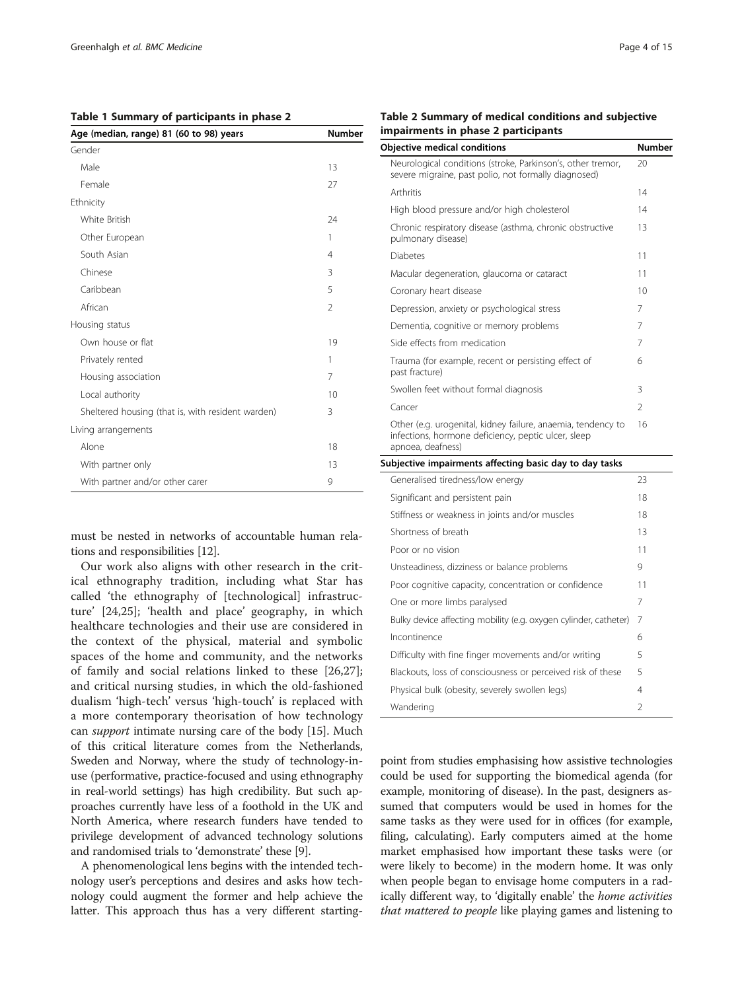#### Table 1 Summary of participants in phase 2

| Age (median, range) 81 (60 to 98) years           | <b>Number</b>  |
|---------------------------------------------------|----------------|
| Gender                                            |                |
| Male                                              | 13             |
| Female                                            | 27             |
| Ethnicity                                         |                |
| White British                                     | 24             |
| Other European                                    | 1              |
| South Asian                                       | 4              |
| Chinese                                           | 3              |
| Caribbean                                         | 5              |
| African                                           | $\mathfrak{D}$ |
| Housing status                                    |                |
| Own house or flat                                 | 19             |
| Privately rented                                  |                |
| Housing association                               |                |
| Local authority                                   | 10             |
| Sheltered housing (that is, with resident warden) | 3              |
| Living arrangements                               |                |
| Alone                                             | 18             |
| With partner only                                 | 13             |
| With partner and/or other carer                   | 9              |

must be nested in networks of accountable human relations and responsibilities [12].

Our work also aligns with other research in the critical ethnography tradition, including what Star has called 'the ethnography of [technological] infrastructure' [24,25]; 'health and place' geography, in which healthcare technologies and their use are considered in the context of the physical, material and symbolic spaces of the home and community, and the networks of family and social relations linked to these [26,27]; and critical nursing studies, in which the old-fashioned dualism 'high-tech' versus 'high-touch' is replaced with a more contemporary theorisation of how technology can support intimate nursing care of the body [15]. Much of this critical literature comes from the Netherlands, Sweden and Norway, where the study of technology-inuse (performative, practice-focused and using ethnography in real-world settings) has high credibility. But such approaches currently have less of a foothold in the UK and North America, where research funders have tended to privilege development of advanced technology solutions and randomised trials to 'demonstrate' these [9].

A phenomenological lens begins with the intended technology user's perceptions and desires and asks how technology could augment the former and help achieve the latter. This approach thus has a very different starting-

# Table 2 Summary of medical conditions and subjective

impairments in phase 2 participants

| <b>Objective medical conditions</b>                                                                                                      | Number         |
|------------------------------------------------------------------------------------------------------------------------------------------|----------------|
| Neurological conditions (stroke, Parkinson's, other tremor,<br>severe migraine, past polio, not formally diagnosed)                      | 20             |
| Arthritis                                                                                                                                | 14             |
| High blood pressure and/or high cholesterol                                                                                              | 14             |
| Chronic respiratory disease (asthma, chronic obstructive<br>pulmonary disease)                                                           |                |
| <b>Diabetes</b>                                                                                                                          | 11             |
| Macular degeneration, glaucoma or cataract                                                                                               | 11             |
| Coronary heart disease                                                                                                                   | 10             |
| Depression, anxiety or psychological stress                                                                                              | 7              |
| Dementia, cognitive or memory problems                                                                                                   | 7              |
| Side effects from medication                                                                                                             | 7              |
| Trauma (for example, recent or persisting effect of<br>past fracture)                                                                    | 6              |
| Swollen feet without formal diagnosis                                                                                                    | 3              |
| Cancer                                                                                                                                   | $\overline{2}$ |
| Other (e.g. urogenital, kidney failure, anaemia, tendency to<br>infections, hormone deficiency, peptic ulcer, sleep<br>apnoea, deafness) | 16             |
| Subjective impairments affecting basic day to day tasks                                                                                  |                |
| Generalised tiredness/low energy                                                                                                         | 23             |
| Significant and persistent pain                                                                                                          | 18             |
| Stiffness or weakness in joints and/or muscles                                                                                           | 18             |
| Shortness of breath                                                                                                                      | 13             |
| Poor or no vision                                                                                                                        | 11             |
| Unsteadiness, dizziness or balance problems                                                                                              | 9              |
| Poor cognitive capacity, concentration or confidence                                                                                     | 11             |
| One or more limbs paralysed                                                                                                              | 7              |
| Bulky device affecting mobility (e.g. oxygen cylinder, catheter)                                                                         | 7              |
| Incontinence                                                                                                                             | 6              |
| Difficulty with fine finger movements and/or writing                                                                                     | 5              |
| Blackouts, loss of consciousness or perceived risk of these                                                                              | 5              |
| Physical bulk (obesity, severely swollen legs)                                                                                           | 4              |
| Wandering                                                                                                                                | 2              |

point from studies emphasising how assistive technologies could be used for supporting the biomedical agenda (for example, monitoring of disease). In the past, designers assumed that computers would be used in homes for the same tasks as they were used for in offices (for example, filing, calculating). Early computers aimed at the home market emphasised how important these tasks were (or were likely to become) in the modern home. It was only when people began to envisage home computers in a radically different way, to 'digitally enable' the home activities that mattered to people like playing games and listening to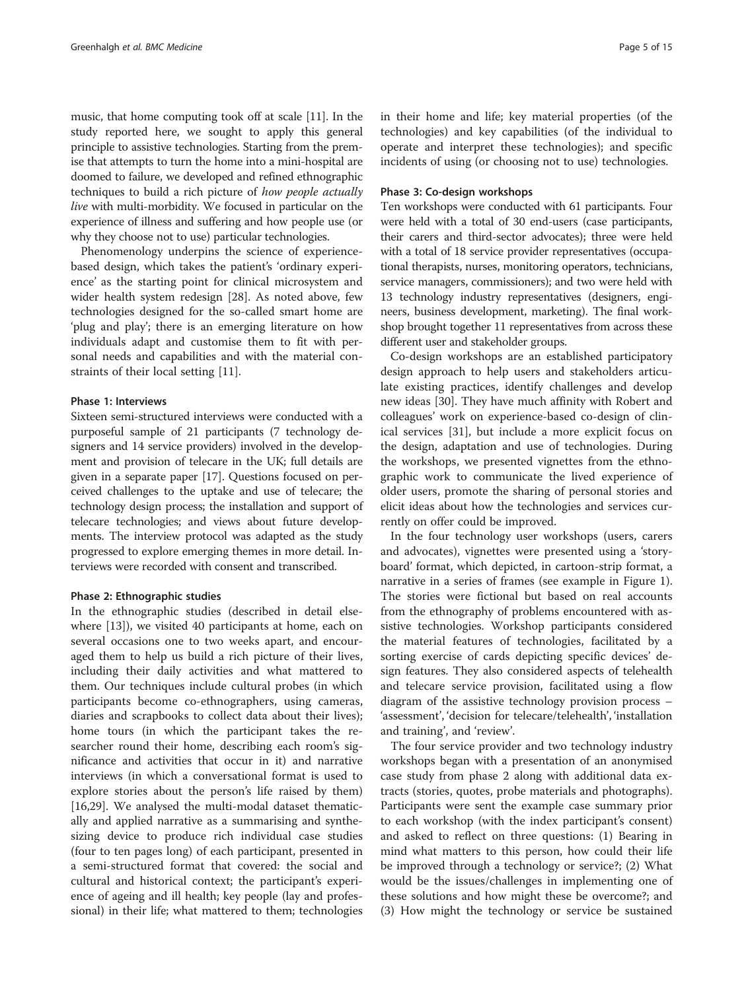music, that home computing took off at scale [11]. In the study reported here, we sought to apply this general principle to assistive technologies. Starting from the premise that attempts to turn the home into a mini-hospital are doomed to failure, we developed and refined ethnographic techniques to build a rich picture of how people actually live with multi-morbidity. We focused in particular on the experience of illness and suffering and how people use (or why they choose not to use) particular technologies.

Phenomenology underpins the science of experiencebased design, which takes the patient's 'ordinary experience' as the starting point for clinical microsystem and wider health system redesign [28]. As noted above, few technologies designed for the so-called smart home are 'plug and play'; there is an emerging literature on how individuals adapt and customise them to fit with personal needs and capabilities and with the material constraints of their local setting [11].

# Phase 1: Interviews

Sixteen semi-structured interviews were conducted with a purposeful sample of 21 participants (7 technology designers and 14 service providers) involved in the development and provision of telecare in the UK; full details are given in a separate paper [17]. Questions focused on perceived challenges to the uptake and use of telecare; the technology design process; the installation and support of telecare technologies; and views about future developments. The interview protocol was adapted as the study progressed to explore emerging themes in more detail. Interviews were recorded with consent and transcribed.

# Phase 2: Ethnographic studies

In the ethnographic studies (described in detail elsewhere [13]), we visited 40 participants at home, each on several occasions one to two weeks apart, and encouraged them to help us build a rich picture of their lives, including their daily activities and what mattered to them. Our techniques include cultural probes (in which participants become co-ethnographers, using cameras, diaries and scrapbooks to collect data about their lives); home tours (in which the participant takes the researcher round their home, describing each room's significance and activities that occur in it) and narrative interviews (in which a conversational format is used to explore stories about the person's life raised by them) [16,29]. We analysed the multi-modal dataset thematically and applied narrative as a summarising and synthesizing device to produce rich individual case studies (four to ten pages long) of each participant, presented in a semi-structured format that covered: the social and cultural and historical context; the participant's experience of ageing and ill health; key people (lay and professional) in their life; what mattered to them; technologies in their home and life; key material properties (of the technologies) and key capabilities (of the individual to operate and interpret these technologies); and specific incidents of using (or choosing not to use) technologies.

# Phase 3: Co-design workshops

Ten workshops were conducted with 61 participants. Four were held with a total of 30 end-users (case participants, their carers and third-sector advocates); three were held with a total of 18 service provider representatives (occupational therapists, nurses, monitoring operators, technicians, service managers, commissioners); and two were held with 13 technology industry representatives (designers, engineers, business development, marketing). The final workshop brought together 11 representatives from across these different user and stakeholder groups.

Co-design workshops are an established participatory design approach to help users and stakeholders articulate existing practices, identify challenges and develop new ideas [30]. They have much affinity with Robert and colleagues' work on experience-based co-design of clinical services [31], but include a more explicit focus on the design, adaptation and use of technologies. During the workshops, we presented vignettes from the ethnographic work to communicate the lived experience of older users, promote the sharing of personal stories and elicit ideas about how the technologies and services currently on offer could be improved.

In the four technology user workshops (users, carers and advocates), vignettes were presented using a 'storyboard' format, which depicted, in cartoon-strip format, a narrative in a series of frames (see example in Figure 1). The stories were fictional but based on real accounts from the ethnography of problems encountered with assistive technologies. Workshop participants considered the material features of technologies, facilitated by a sorting exercise of cards depicting specific devices' design features. They also considered aspects of telehealth and telecare service provision, facilitated using a flow diagram of the assistive technology provision process – 'assessment', 'decision for telecare/telehealth', 'installation and training', and 'review'.

The four service provider and two technology industry workshops began with a presentation of an anonymised case study from phase 2 along with additional data extracts (stories, quotes, probe materials and photographs). Participants were sent the example case summary prior to each workshop (with the index participant's consent) and asked to reflect on three questions: (1) Bearing in mind what matters to this person, how could their life be improved through a technology or service?; (2) What would be the issues/challenges in implementing one of these solutions and how might these be overcome?; and (3) How might the technology or service be sustained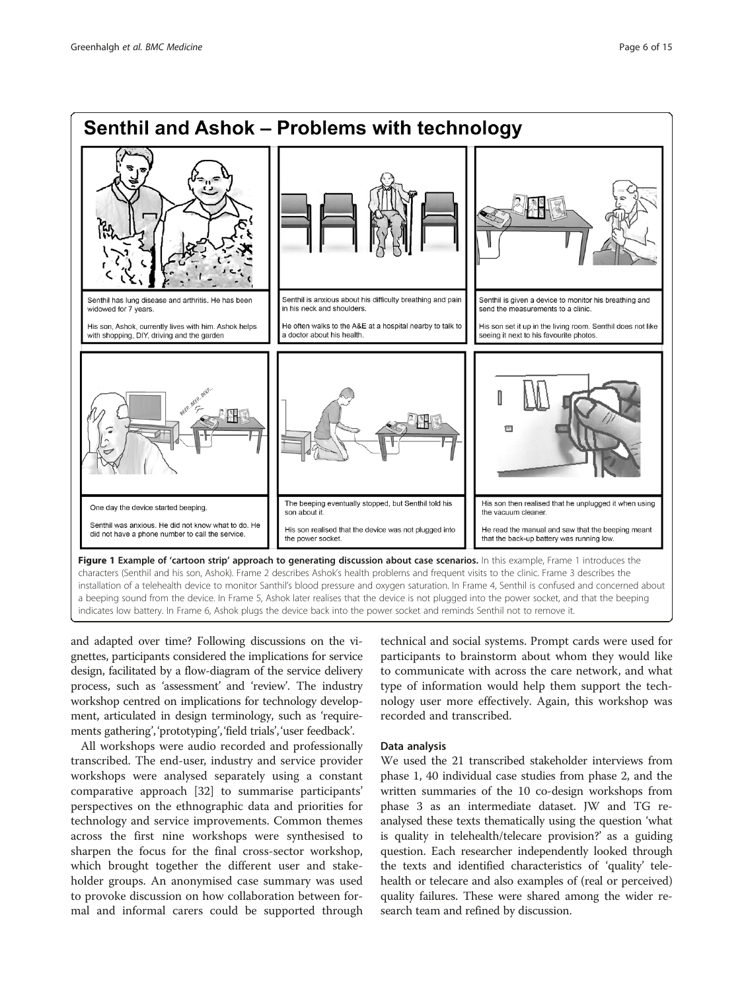

and adapted over time? Following discussions on the vignettes, participants considered the implications for service design, facilitated by a flow-diagram of the service delivery process, such as 'assessment' and 'review'. The industry workshop centred on implications for technology development, articulated in design terminology, such as 'requirements gathering', 'prototyping', 'field trials', 'user feedback'.

All workshops were audio recorded and professionally transcribed. The end-user, industry and service provider workshops were analysed separately using a constant comparative approach [32] to summarise participants' perspectives on the ethnographic data and priorities for technology and service improvements. Common themes across the first nine workshops were synthesised to sharpen the focus for the final cross-sector workshop, which brought together the different user and stakeholder groups. An anonymised case summary was used to provoke discussion on how collaboration between formal and informal carers could be supported through technical and social systems. Prompt cards were used for participants to brainstorm about whom they would like to communicate with across the care network, and what type of information would help them support the technology user more effectively. Again, this workshop was recorded and transcribed.

# Data analysis

We used the 21 transcribed stakeholder interviews from phase 1, 40 individual case studies from phase 2, and the written summaries of the 10 co-design workshops from phase 3 as an intermediate dataset. JW and TG reanalysed these texts thematically using the question 'what is quality in telehealth/telecare provision?' as a guiding question. Each researcher independently looked through the texts and identified characteristics of 'quality' telehealth or telecare and also examples of (real or perceived) quality failures. These were shared among the wider research team and refined by discussion.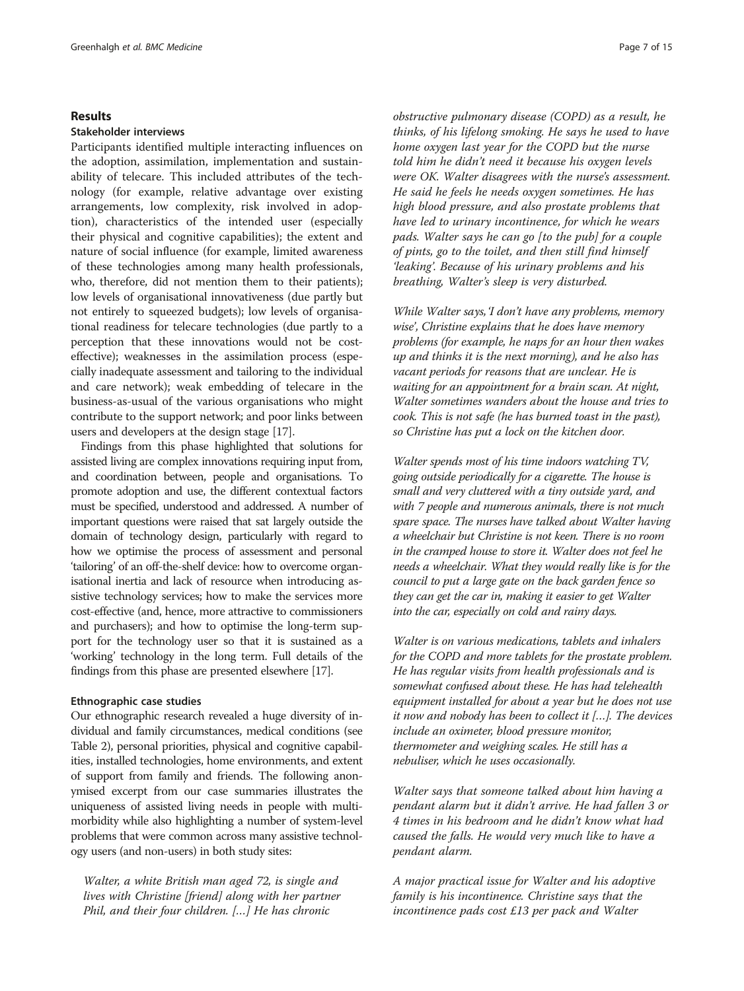#### Results

# Stakeholder interviews

Participants identified multiple interacting influences on the adoption, assimilation, implementation and sustainability of telecare. This included attributes of the technology (for example, relative advantage over existing arrangements, low complexity, risk involved in adoption), characteristics of the intended user (especially their physical and cognitive capabilities); the extent and nature of social influence (for example, limited awareness of these technologies among many health professionals, who, therefore, did not mention them to their patients); low levels of organisational innovativeness (due partly but not entirely to squeezed budgets); low levels of organisational readiness for telecare technologies (due partly to a perception that these innovations would not be costeffective); weaknesses in the assimilation process (especially inadequate assessment and tailoring to the individual and care network); weak embedding of telecare in the business-as-usual of the various organisations who might contribute to the support network; and poor links between users and developers at the design stage [17].

Findings from this phase highlighted that solutions for assisted living are complex innovations requiring input from, and coordination between, people and organisations. To promote adoption and use, the different contextual factors must be specified, understood and addressed. A number of important questions were raised that sat largely outside the domain of technology design, particularly with regard to how we optimise the process of assessment and personal 'tailoring' of an off-the-shelf device: how to overcome organisational inertia and lack of resource when introducing assistive technology services; how to make the services more cost-effective (and, hence, more attractive to commissioners and purchasers); and how to optimise the long-term support for the technology user so that it is sustained as a 'working' technology in the long term. Full details of the findings from this phase are presented elsewhere [17].

# Ethnographic case studies

Our ethnographic research revealed a huge diversity of individual and family circumstances, medical conditions (see Table 2), personal priorities, physical and cognitive capabilities, installed technologies, home environments, and extent of support from family and friends. The following anonymised excerpt from our case summaries illustrates the uniqueness of assisted living needs in people with multimorbidity while also highlighting a number of system-level problems that were common across many assistive technology users (and non-users) in both study sites:

Walter, a white British man aged 72, is single and lives with Christine [friend] along with her partner Phil, and their four children. […] He has chronic

obstructive pulmonary disease (COPD) as a result, he thinks, of his lifelong smoking. He says he used to have home oxygen last year for the COPD but the nurse told him he didn't need it because his oxygen levels were OK. Walter disagrees with the nurse's assessment. He said he feels he needs oxygen sometimes. He has high blood pressure, and also prostate problems that have led to urinary incontinence, for which he wears pads. Walter says he can go [to the pub] for a couple of pints, go to the toilet, and then still find himself 'leaking'. Because of his urinary problems and his breathing, Walter's sleep is very disturbed.

While Walter says,'I don't have any problems, memory wise', Christine explains that he does have memory problems (for example, he naps for an hour then wakes up and thinks it is the next morning), and he also has vacant periods for reasons that are unclear. He is waiting for an appointment for a brain scan. At night, Walter sometimes wanders about the house and tries to cook. This is not safe (he has burned toast in the past), so Christine has put a lock on the kitchen door.

Walter spends most of his time indoors watching TV, going outside periodically for a cigarette. The house is small and very cluttered with a tiny outside yard, and with 7 people and numerous animals, there is not much spare space. The nurses have talked about Walter having a wheelchair but Christine is not keen. There is no room in the cramped house to store it. Walter does not feel he needs a wheelchair. What they would really like is for the council to put a large gate on the back garden fence so they can get the car in, making it easier to get Walter into the car, especially on cold and rainy days.

Walter is on various medications, tablets and inhalers for the COPD and more tablets for the prostate problem. He has regular visits from health professionals and is somewhat confused about these. He has had telehealth equipment installed for about a year but he does not use it now and nobody has been to collect it […]. The devices include an oximeter, blood pressure monitor, thermometer and weighing scales. He still has a nebuliser, which he uses occasionally.

Walter says that someone talked about him having a pendant alarm but it didn't arrive. He had fallen 3 or 4 times in his bedroom and he didn't know what had caused the falls. He would very much like to have a pendant alarm.

A major practical issue for Walter and his adoptive family is his incontinence. Christine says that the incontinence pads cost £13 per pack and Walter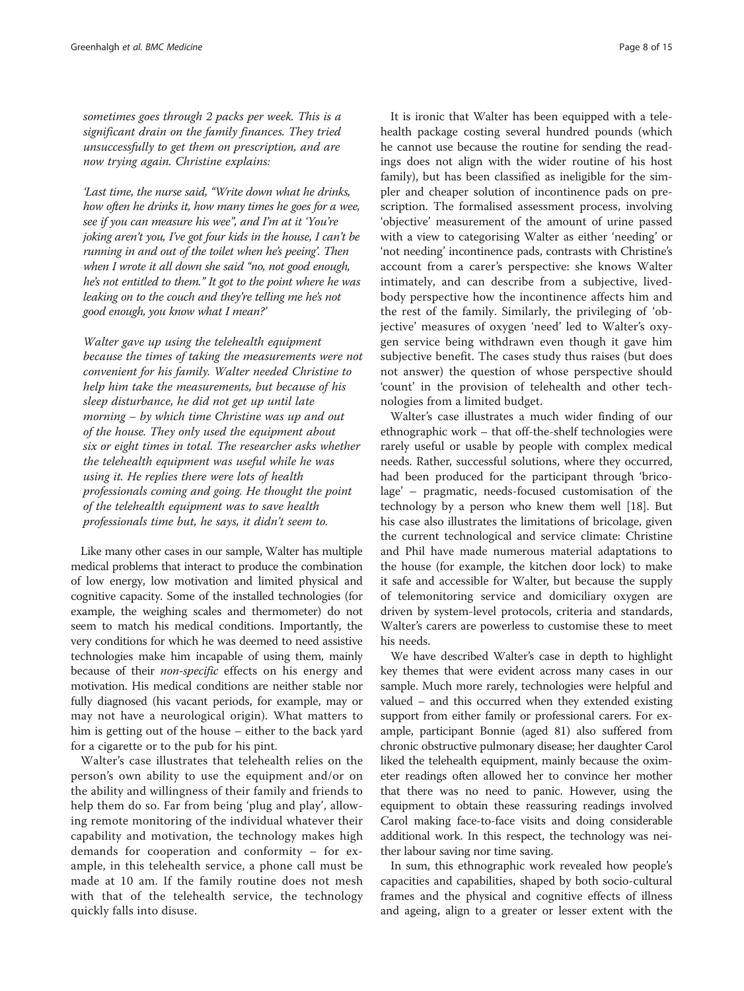sometimes goes through 2 packs per week. This is a significant drain on the family finances. They tried unsuccessfully to get them on prescription, and are now trying again. Christine explains:

'Last time, the nurse said, "Write down what he drinks, how often he drinks it, how many times he goes for a wee, see if you can measure his wee", and I'm at it 'You're joking aren't you, I've got four kids in the house, I can't be running in and out of the toilet when he's peeing'. Then when I wrote it all down she said "no, not good enough, he's not entitled to them." It got to the point where he was leaking on to the couch and they're telling me he's not good enough, you know what I mean?'

Walter gave up using the telehealth equipment because the times of taking the measurements were not convenient for his family. Walter needed Christine to help him take the measurements, but because of his sleep disturbance, he did not get up until late morning – by which time Christine was up and out of the house. They only used the equipment about six or eight times in total. The researcher asks whether the telehealth equipment was useful while he was using it. He replies there were lots of health professionals coming and going. He thought the point of the telehealth equipment was to save health professionals time but, he says, it didn't seem to.

Like many other cases in our sample, Walter has multiple medical problems that interact to produce the combination of low energy, low motivation and limited physical and cognitive capacity. Some of the installed technologies (for example, the weighing scales and thermometer) do not seem to match his medical conditions. Importantly, the very conditions for which he was deemed to need assistive technologies make him incapable of using them, mainly because of their non-specific effects on his energy and motivation. His medical conditions are neither stable nor fully diagnosed (his vacant periods, for example, may or may not have a neurological origin). What matters to him is getting out of the house – either to the back yard for a cigarette or to the pub for his pint.

Walter's case illustrates that telehealth relies on the person's own ability to use the equipment and/or on the ability and willingness of their family and friends to help them do so. Far from being 'plug and play', allowing remote monitoring of the individual whatever their capability and motivation, the technology makes high demands for cooperation and conformity – for example, in this telehealth service, a phone call must be made at 10 am. If the family routine does not mesh with that of the telehealth service, the technology quickly falls into disuse.

It is ironic that Walter has been equipped with a telehealth package costing several hundred pounds (which he cannot use because the routine for sending the readings does not align with the wider routine of his host family), but has been classified as ineligible for the simpler and cheaper solution of incontinence pads on prescription. The formalised assessment process, involving 'objective' measurement of the amount of urine passed with a view to categorising Walter as either 'needing' or 'not needing' incontinence pads, contrasts with Christine's account from a carer's perspective: she knows Walter intimately, and can describe from a subjective, livedbody perspective how the incontinence affects him and the rest of the family. Similarly, the privileging of 'objective' measures of oxygen 'need' led to Walter's oxygen service being withdrawn even though it gave him subjective benefit. The cases study thus raises (but does not answer) the question of whose perspective should 'count' in the provision of telehealth and other technologies from a limited budget.

Walter's case illustrates a much wider finding of our ethnographic work – that off-the-shelf technologies were rarely useful or usable by people with complex medical needs. Rather, successful solutions, where they occurred, had been produced for the participant through 'bricolage' – pragmatic, needs-focused customisation of the technology by a person who knew them well [18]. But his case also illustrates the limitations of bricolage, given the current technological and service climate: Christine and Phil have made numerous material adaptations to the house (for example, the kitchen door lock) to make it safe and accessible for Walter, but because the supply of telemonitoring service and domiciliary oxygen are driven by system-level protocols, criteria and standards, Walter's carers are powerless to customise these to meet his needs.

We have described Walter's case in depth to highlight key themes that were evident across many cases in our sample. Much more rarely, technologies were helpful and valued – and this occurred when they extended existing support from either family or professional carers. For example, participant Bonnie (aged 81) also suffered from chronic obstructive pulmonary disease; her daughter Carol liked the telehealth equipment, mainly because the oximeter readings often allowed her to convince her mother that there was no need to panic. However, using the equipment to obtain these reassuring readings involved Carol making face-to-face visits and doing considerable additional work. In this respect, the technology was neither labour saving nor time saving.

In sum, this ethnographic work revealed how people's capacities and capabilities, shaped by both socio-cultural frames and the physical and cognitive effects of illness and ageing, align to a greater or lesser extent with the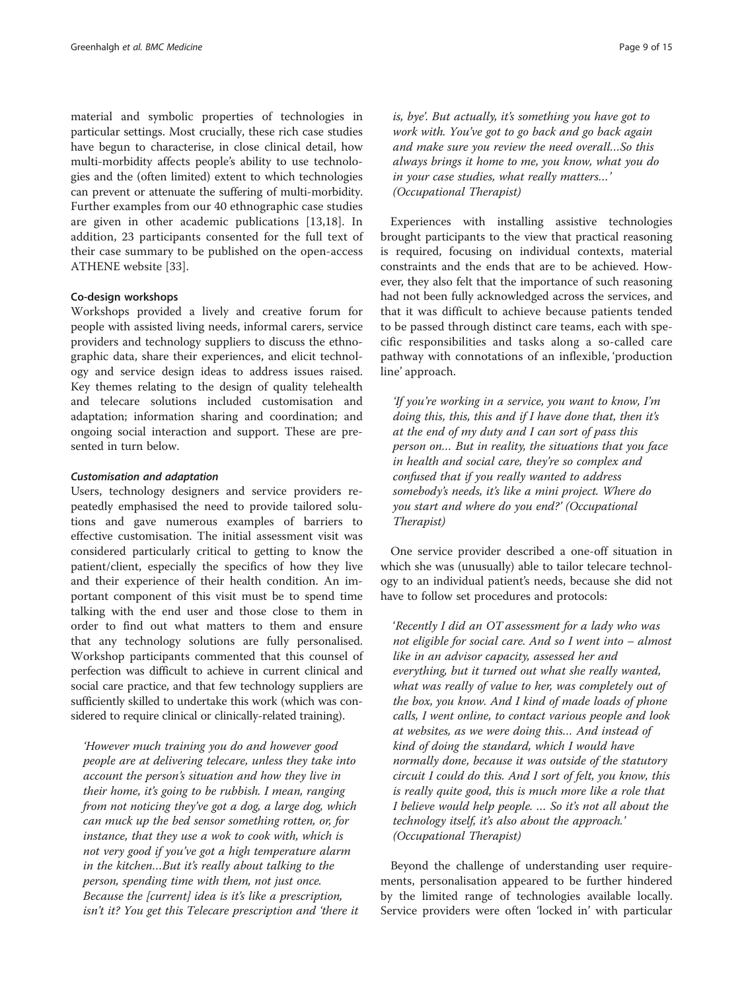material and symbolic properties of technologies in particular settings. Most crucially, these rich case studies have begun to characterise, in close clinical detail, how multi-morbidity affects people's ability to use technologies and the (often limited) extent to which technologies can prevent or attenuate the suffering of multi-morbidity. Further examples from our 40 ethnographic case studies are given in other academic publications [13,18]. In addition, 23 participants consented for the full text of their case summary to be published on the open-access ATHENE website [33].

# Co-design workshops

Workshops provided a lively and creative forum for people with assisted living needs, informal carers, service providers and technology suppliers to discuss the ethnographic data, share their experiences, and elicit technology and service design ideas to address issues raised. Key themes relating to the design of quality telehealth and telecare solutions included customisation and adaptation; information sharing and coordination; and ongoing social interaction and support. These are presented in turn below.

# Customisation and adaptation

Users, technology designers and service providers repeatedly emphasised the need to provide tailored solutions and gave numerous examples of barriers to effective customisation. The initial assessment visit was considered particularly critical to getting to know the patient/client, especially the specifics of how they live and their experience of their health condition. An important component of this visit must be to spend time talking with the end user and those close to them in order to find out what matters to them and ensure that any technology solutions are fully personalised. Workshop participants commented that this counsel of perfection was difficult to achieve in current clinical and social care practice, and that few technology suppliers are sufficiently skilled to undertake this work (which was considered to require clinical or clinically-related training).

'However much training you do and however good people are at delivering telecare, unless they take into account the person's situation and how they live in their home, it's going to be rubbish. I mean, ranging from not noticing they've got a dog, a large dog, which can muck up the bed sensor something rotten, or, for instance, that they use a wok to cook with, which is not very good if you've got a high temperature alarm in the kitchen…But it's really about talking to the person, spending time with them, not just once. Because the [current] idea is it's like a prescription, isn't it? You get this Telecare prescription and 'there it is, bye'. But actually, it's something you have got to work with. You've got to go back and go back again and make sure you review the need overall…So this always brings it home to me, you know, what you do in your case studies, what really matters…' (Occupational Therapist)

Experiences with installing assistive technologies brought participants to the view that practical reasoning is required, focusing on individual contexts, material constraints and the ends that are to be achieved. However, they also felt that the importance of such reasoning had not been fully acknowledged across the services, and that it was difficult to achieve because patients tended to be passed through distinct care teams, each with specific responsibilities and tasks along a so-called care pathway with connotations of an inflexible, 'production line' approach.

'If you're working in a service, you want to know, I'm doing this, this, this and if I have done that, then it's at the end of my duty and I can sort of pass this person on… But in reality, the situations that you face in health and social care, they're so complex and confused that if you really wanted to address somebody's needs, it's like a mini project. Where do you start and where do you end?' (Occupational Therapist)

One service provider described a one-off situation in which she was (unusually) able to tailor telecare technology to an individual patient's needs, because she did not have to follow set procedures and protocols:

'Recently I did an OT assessment for a lady who was not eligible for social care. And so I went into – almost like in an advisor capacity, assessed her and everything, but it turned out what she really wanted, what was really of value to her, was completely out of the box, you know. And I kind of made loads of phone calls, I went online, to contact various people and look at websites, as we were doing this… And instead of kind of doing the standard, which I would have normally done, because it was outside of the statutory circuit I could do this. And I sort of felt, you know, this is really quite good, this is much more like a role that I believe would help people. … So it's not all about the technology itself, it's also about the approach.' (Occupational Therapist)

Beyond the challenge of understanding user requirements, personalisation appeared to be further hindered by the limited range of technologies available locally. Service providers were often 'locked in' with particular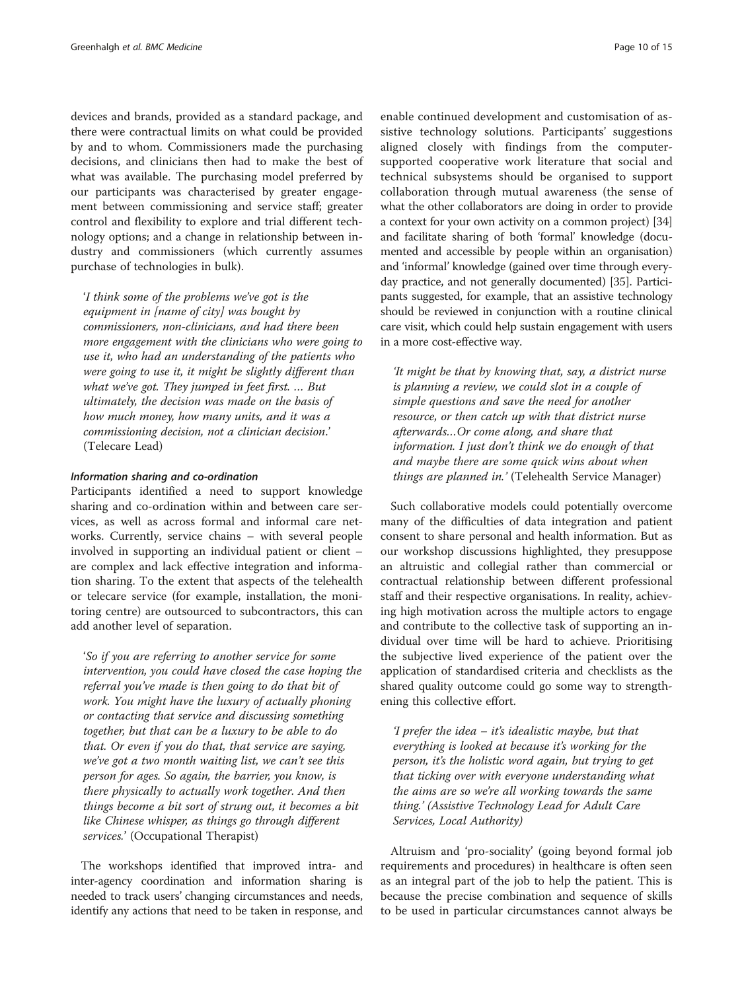devices and brands, provided as a standard package, and there were contractual limits on what could be provided by and to whom. Commissioners made the purchasing decisions, and clinicians then had to make the best of what was available. The purchasing model preferred by our participants was characterised by greater engagement between commissioning and service staff; greater control and flexibility to explore and trial different technology options; and a change in relationship between industry and commissioners (which currently assumes purchase of technologies in bulk).

'I think some of the problems we've got is the equipment in [name of city] was bought by commissioners, non-clinicians, and had there been more engagement with the clinicians who were going to use it, who had an understanding of the patients who were going to use it, it might be slightly different than what we've got. They jumped in feet first. … But ultimately, the decision was made on the basis of how much money, how many units, and it was a commissioning decision, not a clinician decision.' (Telecare Lead)

# Information sharing and co-ordination

Participants identified a need to support knowledge sharing and co-ordination within and between care services, as well as across formal and informal care networks. Currently, service chains – with several people involved in supporting an individual patient or client – are complex and lack effective integration and information sharing. To the extent that aspects of the telehealth or telecare service (for example, installation, the monitoring centre) are outsourced to subcontractors, this can add another level of separation.

'So if you are referring to another service for some intervention, you could have closed the case hoping the referral you've made is then going to do that bit of work. You might have the luxury of actually phoning or contacting that service and discussing something together, but that can be a luxury to be able to do that. Or even if you do that, that service are saying, we've got a two month waiting list, we can't see this person for ages. So again, the barrier, you know, is there physically to actually work together. And then things become a bit sort of strung out, it becomes a bit like Chinese whisper, as things go through different services.' (Occupational Therapist)

The workshops identified that improved intra- and inter-agency coordination and information sharing is needed to track users' changing circumstances and needs, identify any actions that need to be taken in response, and

enable continued development and customisation of assistive technology solutions. Participants' suggestions aligned closely with findings from the computersupported cooperative work literature that social and technical subsystems should be organised to support collaboration through mutual awareness (the sense of what the other collaborators are doing in order to provide a context for your own activity on a common project) [34] and facilitate sharing of both 'formal' knowledge (documented and accessible by people within an organisation) and 'informal' knowledge (gained over time through everyday practice, and not generally documented) [35]. Participants suggested, for example, that an assistive technology should be reviewed in conjunction with a routine clinical care visit, which could help sustain engagement with users in a more cost-effective way.

'It might be that by knowing that, say, a district nurse is planning a review, we could slot in a couple of simple questions and save the need for another resource, or then catch up with that district nurse afterwards…Or come along, and share that information. I just don't think we do enough of that and maybe there are some quick wins about when things are planned in.' (Telehealth Service Manager)

Such collaborative models could potentially overcome many of the difficulties of data integration and patient consent to share personal and health information. But as our workshop discussions highlighted, they presuppose an altruistic and collegial rather than commercial or contractual relationship between different professional staff and their respective organisations. In reality, achieving high motivation across the multiple actors to engage and contribute to the collective task of supporting an individual over time will be hard to achieve. Prioritising the subjective lived experience of the patient over the application of standardised criteria and checklists as the shared quality outcome could go some way to strengthening this collective effort.

'I prefer the idea – it's idealistic maybe, but that everything is looked at because it's working for the person, it's the holistic word again, but trying to get that ticking over with everyone understanding what the aims are so we're all working towards the same thing.' (Assistive Technology Lead for Adult Care Services, Local Authority)

Altruism and 'pro-sociality' (going beyond formal job requirements and procedures) in healthcare is often seen as an integral part of the job to help the patient. This is because the precise combination and sequence of skills to be used in particular circumstances cannot always be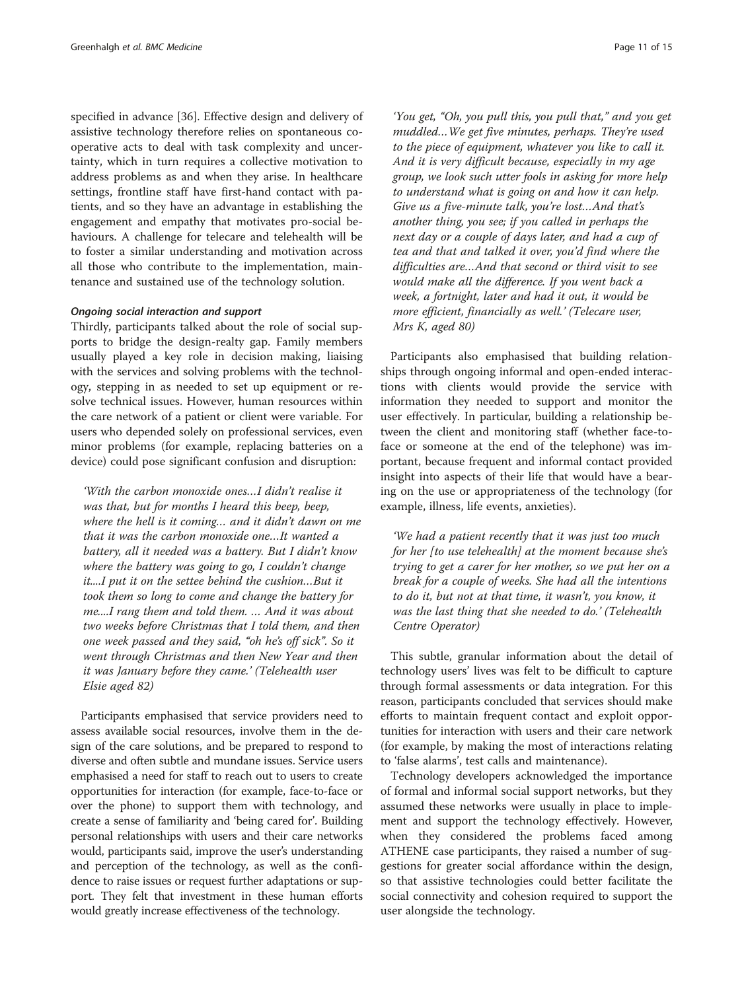specified in advance [36]. Effective design and delivery of assistive technology therefore relies on spontaneous cooperative acts to deal with task complexity and uncertainty, which in turn requires a collective motivation to address problems as and when they arise. In healthcare settings, frontline staff have first-hand contact with patients, and so they have an advantage in establishing the engagement and empathy that motivates pro-social behaviours. A challenge for telecare and telehealth will be to foster a similar understanding and motivation across all those who contribute to the implementation, maintenance and sustained use of the technology solution.

# Ongoing social interaction and support

Thirdly, participants talked about the role of social supports to bridge the design-realty gap. Family members usually played a key role in decision making, liaising with the services and solving problems with the technology, stepping in as needed to set up equipment or resolve technical issues. However, human resources within the care network of a patient or client were variable. For users who depended solely on professional services, even minor problems (for example, replacing batteries on a device) could pose significant confusion and disruption:

'With the carbon monoxide ones…I didn't realise it was that, but for months I heard this beep, beep, where the hell is it coming… and it didn't dawn on me that it was the carbon monoxide one…It wanted a battery, all it needed was a battery. But I didn't know where the battery was going to go, I couldn't change it....I put it on the settee behind the cushion…But it took them so long to come and change the battery for me....I rang them and told them. … And it was about two weeks before Christmas that I told them, and then one week passed and they said, "oh he's off sick". So it went through Christmas and then New Year and then it was January before they came.' (Telehealth user Elsie aged 82)

Participants emphasised that service providers need to assess available social resources, involve them in the design of the care solutions, and be prepared to respond to diverse and often subtle and mundane issues. Service users emphasised a need for staff to reach out to users to create opportunities for interaction (for example, face-to-face or over the phone) to support them with technology, and create a sense of familiarity and 'being cared for'. Building personal relationships with users and their care networks would, participants said, improve the user's understanding and perception of the technology, as well as the confidence to raise issues or request further adaptations or support. They felt that investment in these human efforts would greatly increase effectiveness of the technology.

'You get, "Oh, you pull this, you pull that," and you get muddled…We get five minutes, perhaps. They're used to the piece of equipment, whatever you like to call it. And it is very difficult because, especially in my age group, we look such utter fools in asking for more help to understand what is going on and how it can help. Give us a five-minute talk, you're lost…And that's another thing, you see; if you called in perhaps the next day or a couple of days later, and had a cup of tea and that and talked it over, you'd find where the difficulties are…And that second or third visit to see would make all the difference. If you went back a week, a fortnight, later and had it out, it would be more efficient, financially as well.' (Telecare user, Mrs K, aged 80)

Participants also emphasised that building relationships through ongoing informal and open-ended interactions with clients would provide the service with information they needed to support and monitor the user effectively. In particular, building a relationship between the client and monitoring staff (whether face-toface or someone at the end of the telephone) was important, because frequent and informal contact provided insight into aspects of their life that would have a bearing on the use or appropriateness of the technology (for example, illness, life events, anxieties).

'We had a patient recently that it was just too much for her *(to use telehealth)* at the moment because she's trying to get a carer for her mother, so we put her on a break for a couple of weeks. She had all the intentions to do it, but not at that time, it wasn't, you know, it was the last thing that she needed to do.' (Telehealth Centre Operator)

This subtle, granular information about the detail of technology users' lives was felt to be difficult to capture through formal assessments or data integration. For this reason, participants concluded that services should make efforts to maintain frequent contact and exploit opportunities for interaction with users and their care network (for example, by making the most of interactions relating to 'false alarms', test calls and maintenance).

Technology developers acknowledged the importance of formal and informal social support networks, but they assumed these networks were usually in place to implement and support the technology effectively. However, when they considered the problems faced among ATHENE case participants, they raised a number of suggestions for greater social affordance within the design, so that assistive technologies could better facilitate the social connectivity and cohesion required to support the user alongside the technology.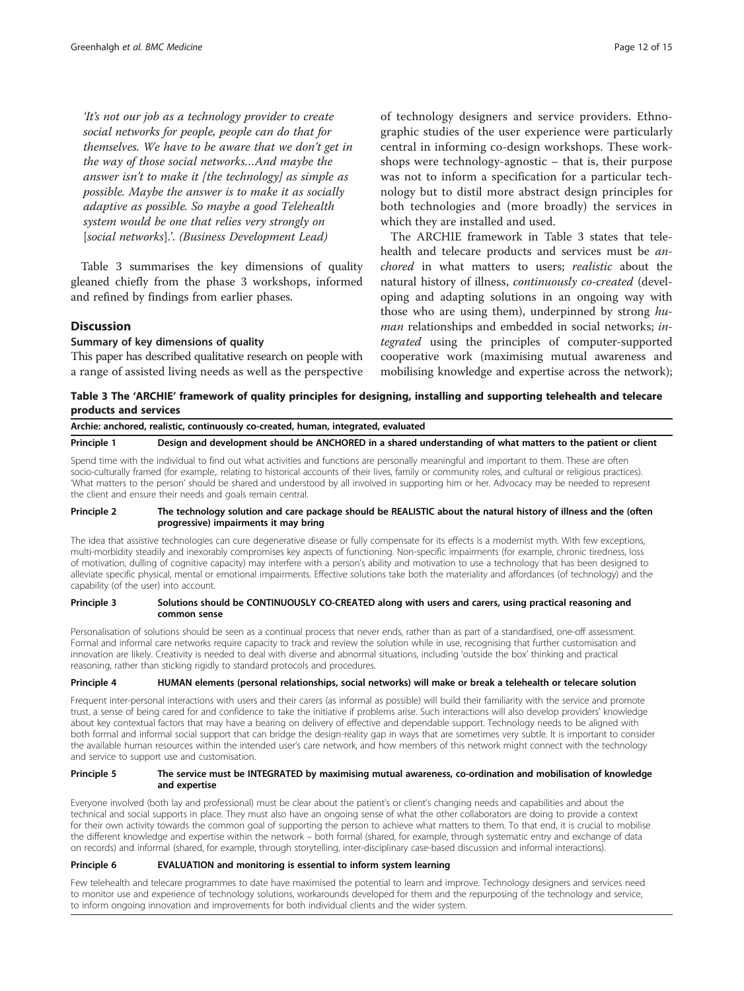'It's not our job as a technology provider to create social networks for people, people can do that for themselves. We have to be aware that we don't get in the way of those social networks…And maybe the answer isn't to make it [the technology] as simple as possible. Maybe the answer is to make it as socially adaptive as possible. So maybe a good Telehealth system would be one that relies very strongly on [social networks].'. (Business Development Lead)

Table 3 summarises the key dimensions of quality gleaned chiefly from the phase 3 workshops, informed and refined by findings from earlier phases.

# **Discussion**

# Summary of key dimensions of quality

This paper has described qualitative research on people with a range of assisted living needs as well as the perspective

of technology designers and service providers. Ethnographic studies of the user experience were particularly central in informing co-design workshops. These workshops were technology-agnostic – that is, their purpose was not to inform a specification for a particular technology but to distil more abstract design principles for both technologies and (more broadly) the services in which they are installed and used.

The ARCHIE framework in Table 3 states that telehealth and telecare products and services must be anchored in what matters to users; realistic about the natural history of illness, continuously co-created (developing and adapting solutions in an ongoing way with those who are using them), underpinned by strong  $hu$ man relationships and embedded in social networks; integrated using the principles of computer-supported cooperative work (maximising mutual awareness and mobilising knowledge and expertise across the network);

Table 3 The 'ARCHIE' framework of quality principles for designing, installing and supporting telehealth and telecare products and services

| Archie: anchored, realistic, continuously co-created, human, integrated, evaluated |                                                                                                              |  |
|------------------------------------------------------------------------------------|--------------------------------------------------------------------------------------------------------------|--|
| Principle 1                                                                        | Design and development should be ANCHORED in a shared understanding of what matters to the patient or client |  |

Spend time with the individual to find out what activities and functions are personally meaningful and important to them. These are often socio-culturally framed (for example,. relating to historical accounts of their lives, family or community roles, and cultural or religious practices). 'What matters to the person' should be shared and understood by all involved in supporting him or her. Advocacy may be needed to represent the client and ensure their needs and goals remain central.

#### Principle 2 The technology solution and care package should be REALISTIC about the natural history of illness and the (often progressive) impairments it may bring

The idea that assistive technologies can cure degenerative disease or fully compensate for its effects is a modernist myth. With few exceptions, multi-morbidity steadily and inexorably compromises key aspects of functioning. Non-specific impairments (for example, chronic tiredness, loss of motivation, dulling of cognitive capacity) may interfere with a person's ability and motivation to use a technology that has been designed to alleviate specific physical, mental or emotional impairments. Effective solutions take both the materiality and affordances (of technology) and the capability (of the user) into account.

#### Principle 3 Solutions should be CONTINUOUSLY CO-CREATED along with users and carers, using practical reasoning and common sense

Personalisation of solutions should be seen as a continual process that never ends, rather than as part of a standardised, one-off assessment. Formal and informal care networks require capacity to track and review the solution while in use, recognising that further customisation and innovation are likely. Creativity is needed to deal with diverse and abnormal situations, including 'outside the box' thinking and practical reasoning, rather than sticking rigidly to standard protocols and procedures.

#### Principle 4 HUMAN elements (personal relationships, social networks) will make or break a telehealth or telecare solution

Frequent inter-personal interactions with users and their carers (as informal as possible) will build their familiarity with the service and promote trust, a sense of being cared for and confidence to take the initiative if problems arise. Such interactions will also develop providers' knowledge about key contextual factors that may have a bearing on delivery of effective and dependable support. Technology needs to be aligned with both formal and informal social support that can bridge the design-reality gap in ways that are sometimes very subtle. It is important to consider the available human resources within the intended user's care network, and how members of this network might connect with the technology and service to support use and customisation.

#### Principle 5 The service must be INTEGRATED by maximising mutual awareness, co-ordination and mobilisation of knowledge and expertise

Everyone involved (both lay and professional) must be clear about the patient's or client's changing needs and capabilities and about the technical and social supports in place. They must also have an ongoing sense of what the other collaborators are doing to provide a context for their own activity towards the common goal of supporting the person to achieve what matters to them. To that end, it is crucial to mobilise the different knowledge and expertise within the network – both formal (shared, for example, through systematic entry and exchange of data on records) and informal (shared, for example, through storytelling, inter-disciplinary case-based discussion and informal interactions).

### Principle 6 EVALUATION and monitoring is essential to inform system learning

Few telehealth and telecare programmes to date have maximised the potential to learn and improve. Technology designers and services need to monitor use and experience of technology solutions, workarounds developed for them and the repurposing of the technology and service, to inform ongoing innovation and improvements for both individual clients and the wider system.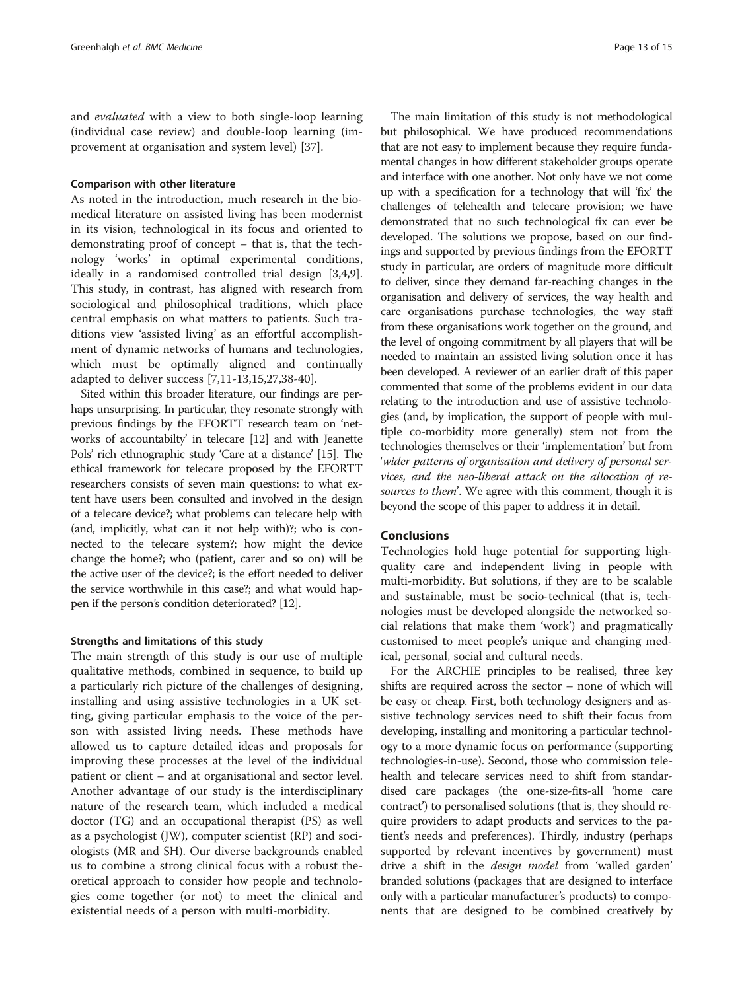and evaluated with a view to both single-loop learning (individual case review) and double-loop learning (improvement at organisation and system level) [37].

# Comparison with other literature

As noted in the introduction, much research in the biomedical literature on assisted living has been modernist in its vision, technological in its focus and oriented to demonstrating proof of concept – that is, that the technology 'works' in optimal experimental conditions, ideally in a randomised controlled trial design [3,4,9]. This study, in contrast, has aligned with research from sociological and philosophical traditions, which place central emphasis on what matters to patients. Such traditions view 'assisted living' as an effortful accomplishment of dynamic networks of humans and technologies, which must be optimally aligned and continually adapted to deliver success [7,11-13,15,27,38-40].

Sited within this broader literature, our findings are perhaps unsurprising. In particular, they resonate strongly with previous findings by the EFORTT research team on 'networks of accountabilty' in telecare [12] and with Jeanette Pols' rich ethnographic study 'Care at a distance' [15]. The ethical framework for telecare proposed by the EFORTT researchers consists of seven main questions: to what extent have users been consulted and involved in the design of a telecare device?; what problems can telecare help with (and, implicitly, what can it not help with)?; who is connected to the telecare system?; how might the device change the home?; who (patient, carer and so on) will be the active user of the device?; is the effort needed to deliver the service worthwhile in this case?; and what would happen if the person's condition deteriorated? [12].

# Strengths and limitations of this study

The main strength of this study is our use of multiple qualitative methods, combined in sequence, to build up a particularly rich picture of the challenges of designing, installing and using assistive technologies in a UK setting, giving particular emphasis to the voice of the person with assisted living needs. These methods have allowed us to capture detailed ideas and proposals for improving these processes at the level of the individual patient or client – and at organisational and sector level. Another advantage of our study is the interdisciplinary nature of the research team, which included a medical doctor (TG) and an occupational therapist (PS) as well as a psychologist (JW), computer scientist (RP) and sociologists (MR and SH). Our diverse backgrounds enabled us to combine a strong clinical focus with a robust theoretical approach to consider how people and technologies come together (or not) to meet the clinical and existential needs of a person with multi-morbidity.

The main limitation of this study is not methodological but philosophical. We have produced recommendations that are not easy to implement because they require fundamental changes in how different stakeholder groups operate and interface with one another. Not only have we not come up with a specification for a technology that will 'fix' the challenges of telehealth and telecare provision; we have demonstrated that no such technological fix can ever be developed. The solutions we propose, based on our findings and supported by previous findings from the EFORTT study in particular, are orders of magnitude more difficult to deliver, since they demand far-reaching changes in the organisation and delivery of services, the way health and care organisations purchase technologies, the way staff from these organisations work together on the ground, and the level of ongoing commitment by all players that will be needed to maintain an assisted living solution once it has been developed. A reviewer of an earlier draft of this paper commented that some of the problems evident in our data relating to the introduction and use of assistive technologies (and, by implication, the support of people with multiple co-morbidity more generally) stem not from the technologies themselves or their 'implementation' but from 'wider patterns of organisation and delivery of personal services, and the neo-liberal attack on the allocation of resources to them'. We agree with this comment, though it is beyond the scope of this paper to address it in detail.

# Conclusions

Technologies hold huge potential for supporting highquality care and independent living in people with multi-morbidity. But solutions, if they are to be scalable and sustainable, must be socio-technical (that is, technologies must be developed alongside the networked social relations that make them 'work') and pragmatically customised to meet people's unique and changing medical, personal, social and cultural needs.

For the ARCHIE principles to be realised, three key shifts are required across the sector – none of which will be easy or cheap. First, both technology designers and assistive technology services need to shift their focus from developing, installing and monitoring a particular technology to a more dynamic focus on performance (supporting technologies-in-use). Second, those who commission telehealth and telecare services need to shift from standardised care packages (the one-size-fits-all 'home care contract') to personalised solutions (that is, they should require providers to adapt products and services to the patient's needs and preferences). Thirdly, industry (perhaps supported by relevant incentives by government) must drive a shift in the *design model* from 'walled garden' branded solutions (packages that are designed to interface only with a particular manufacturer's products) to components that are designed to be combined creatively by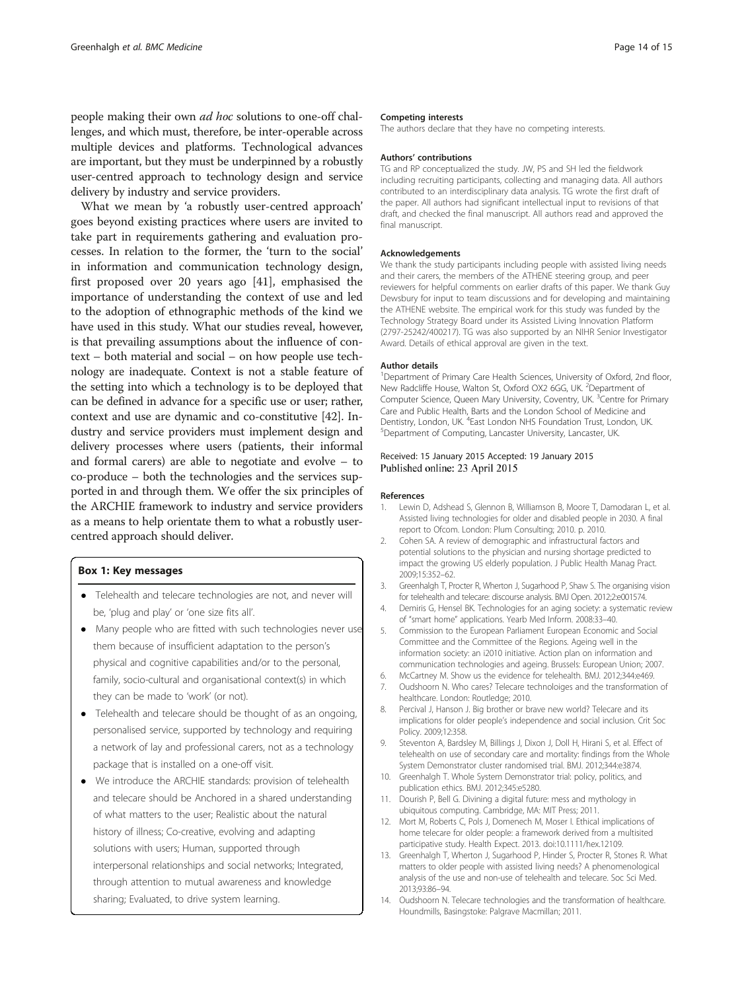people making their own ad hoc solutions to one-off challenges, and which must, therefore, be inter-operable across multiple devices and platforms. Technological advances are important, but they must be underpinned by a robustly user-centred approach to technology design and service delivery by industry and service providers.

What we mean by 'a robustly user-centred approach' goes beyond existing practices where users are invited to take part in requirements gathering and evaluation processes. In relation to the former, the 'turn to the social' in information and communication technology design, first proposed over 20 years ago [41], emphasised the importance of understanding the context of use and led to the adoption of ethnographic methods of the kind we have used in this study. What our studies reveal, however, is that prevailing assumptions about the influence of context – both material and social – on how people use technology are inadequate. Context is not a stable feature of the setting into which a technology is to be deployed that can be defined in advance for a specific use or user; rather, context and use are dynamic and co-constitutive [42]. Industry and service providers must implement design and delivery processes where users (patients, their informal and formal carers) are able to negotiate and evolve – to co-produce – both the technologies and the services supported in and through them. We offer the six principles of the ARCHIE framework to industry and service providers as a means to help orientate them to what a robustly usercentred approach should deliver.

# Box 1: Key messages

- Telehealth and telecare technologies are not, and never will be, 'plug and play' or 'one size fits all'.
- Many people who are fitted with such technologies never use them because of insufficient adaptation to the person's physical and cognitive capabilities and/or to the personal, family, socio-cultural and organisational context(s) in which they can be made to 'work' (or not).
- Telehealth and telecare should be thought of as an ongoing, personalised service, supported by technology and requiring a network of lay and professional carers, not as a technology package that is installed on a one-off visit.
- We introduce the ARCHIE standards: provision of telehealth and telecare should be Anchored in a shared understanding of what matters to the user; Realistic about the natural history of illness; Co-creative, evolving and adapting solutions with users; Human, supported through interpersonal relationships and social networks; Integrated, through attention to mutual awareness and knowledge sharing; Evaluated, to drive system learning.

#### Competing interests

The authors declare that they have no competing interests.

#### Authors' contributions

TG and RP conceptualized the study. JW, PS and SH led the fieldwork including recruiting participants, collecting and managing data. All authors contributed to an interdisciplinary data analysis. TG wrote the first draft of the paper. All authors had significant intellectual input to revisions of that draft, and checked the final manuscript. All authors read and approved the final manuscript.

#### Acknowledgements

We thank the study participants including people with assisted living needs and their carers, the members of the ATHENE steering group, and peer reviewers for helpful comments on earlier drafts of this paper. We thank Guy Dewsbury for input to team discussions and for developing and maintaining the ATHENE website. The empirical work for this study was funded by the Technology Strategy Board under its Assisted Living Innovation Platform (2797-25242/400217). TG was also supported by an NIHR Senior Investigator Award. Details of ethical approval are given in the text.

#### Author details

<sup>1</sup>Department of Primary Care Health Sciences, University of Oxford, 2nd floor, New Radcliffe House, Walton St, Oxford OX2 6GG, UK. <sup>2</sup>Department of Computer Science, Queen Mary University, Coventry, UK.<sup>3</sup> Centre for Primary Care and Public Health, Barts and the London School of Medicine and Dentistry, London, UK. <sup>4</sup>East London NHS Foundation Trust, London, UK.<br><sup>5</sup>Department of Computing Lancester University Lancester UK. <sup>5</sup>Department of Computing, Lancaster University, Lancaster, UK.

#### Received: 15 January 2015 Accepted: 19 January 2015 Published online: 23 April 2015

#### References

- 1. Lewin D, Adshead S, Glennon B, Williamson B, Moore T, Damodaran L, et al. Assisted living technologies for older and disabled people in 2030. A final report to Ofcom. London: Plum Consulting; 2010. p. 2010.
- 2. Cohen SA. A review of demographic and infrastructural factors and potential solutions to the physician and nursing shortage predicted to impact the growing US elderly population. J Public Health Manag Pract. 2009;15:352–62.
- 3. Greenhalgh T, Procter R, Wherton J, Sugarhood P, Shaw S. The organising vision for telehealth and telecare: discourse analysis. BMJ Open. 2012;2:e001574.
- 4. Demiris G, Hensel BK. Technologies for an aging society: a systematic review of "smart home" applications. Yearb Med Inform. 2008:33–40.
- 5. Commission to the European Parliament European Economic and Social Committee and the Committee of the Regions. Ageing well in the information society: an i2010 initiative. Action plan on information and communication technologies and ageing. Brussels: European Union; 2007.
- 6. McCartney M. Show us the evidence for telehealth. BMJ. 2012;344:e469.
- 7. Oudshoorn N. Who cares? Telecare technoloiges and the transformation of healthcare. London: Routledge; 2010.
- 8. Percival J, Hanson J. Big brother or brave new world? Telecare and its implications for older people's independence and social inclusion. Crit Soc Policy. 2009;12:358.
- 9. Steventon A, Bardsley M, Billings J, Dixon J, Doll H, Hirani S, et al. Effect of telehealth on use of secondary care and mortality: findings from the Whole System Demonstrator cluster randomised trial. BMJ. 2012;344:e3874.
- 10. Greenhalgh T. Whole System Demonstrator trial: policy, politics, and publication ethics. BMJ. 2012;345:e5280.
- 11. Dourish P, Bell G. Divining a digital future: mess and mythology in ubiquitous computing. Cambridge, MA: MIT Press; 2011.
- 12. Mort M, Roberts C, Pols J, Domenech M, Moser I. Ethical implications of home telecare for older people: a framework derived from a multisited participative study. Health Expect. 2013. doi:10.1111/hex.12109.
- 13. Greenhalgh T, Wherton J, Sugarhood P, Hinder S, Procter R, Stones R. What matters to older people with assisted living needs? A phenomenological analysis of the use and non-use of telehealth and telecare. Soc Sci Med. 2013;93:86–94.
- 14. Oudshoorn N. Telecare technologies and the transformation of healthcare. Houndmills, Basingstoke: Palgrave Macmillan; 2011.